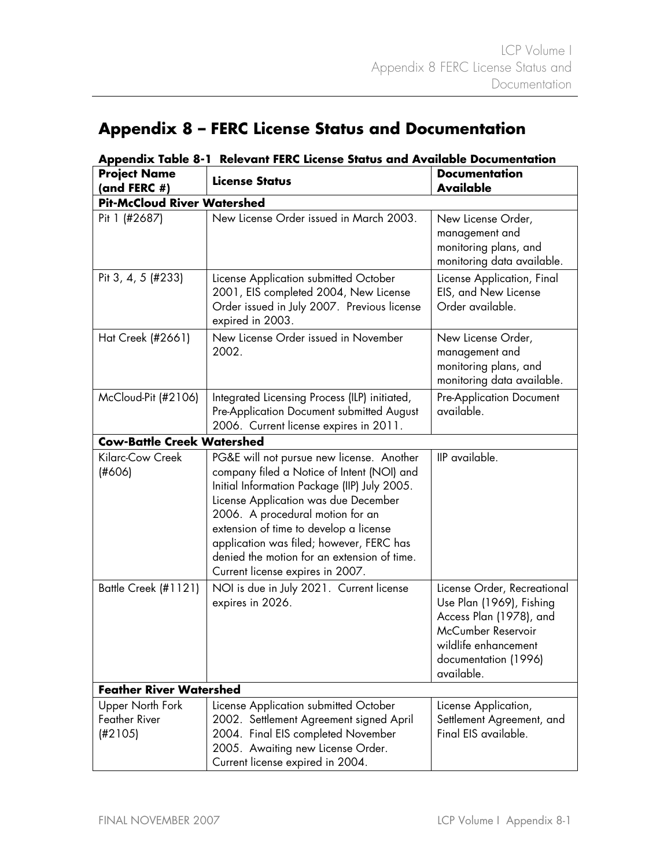## **Appendix 8 – FERC License Status and Documentation**

| <b>Project Name</b><br>(and FERC $#$ )                     | <b>License Status</b>                                                                                                                                                                                                                                                                                                                                                                        | <b>Documentation</b><br><b>Available</b>                                                                                                                               |  |  |
|------------------------------------------------------------|----------------------------------------------------------------------------------------------------------------------------------------------------------------------------------------------------------------------------------------------------------------------------------------------------------------------------------------------------------------------------------------------|------------------------------------------------------------------------------------------------------------------------------------------------------------------------|--|--|
| <b>Pit-McCloud River Watershed</b>                         |                                                                                                                                                                                                                                                                                                                                                                                              |                                                                                                                                                                        |  |  |
| Pit 1 (#2687)                                              | New License Order issued in March 2003.                                                                                                                                                                                                                                                                                                                                                      | New License Order,<br>management and<br>monitoring plans, and<br>monitoring data available.                                                                            |  |  |
| Pit 3, 4, 5 (#233)                                         | License Application submitted October<br>2001, EIS completed 2004, New License<br>Order issued in July 2007. Previous license<br>expired in 2003.                                                                                                                                                                                                                                            | License Application, Final<br>EIS, and New License<br>Order available.                                                                                                 |  |  |
| Hat Creek (#2661)                                          | New License Order issued in November<br>2002.                                                                                                                                                                                                                                                                                                                                                | New License Order,<br>management and<br>monitoring plans, and<br>monitoring data available.                                                                            |  |  |
| McCloud-Pit (#2106)                                        | Integrated Licensing Process (ILP) initiated,<br>Pre-Application Document submitted August<br>2006. Current license expires in 2011.                                                                                                                                                                                                                                                         | <b>Pre-Application Document</b><br>available.                                                                                                                          |  |  |
| <b>Cow-Battle Creek Watershed</b>                          |                                                                                                                                                                                                                                                                                                                                                                                              |                                                                                                                                                                        |  |  |
| Kilarc-Cow Creek<br>(H606)                                 | PG&E will not pursue new license. Another<br>company filed a Notice of Intent (NOI) and<br>Initial Information Package (IIP) July 2005.<br>License Application was due December<br>2006. A procedural motion for an<br>extension of time to develop a license<br>application was filed; however, FERC has<br>denied the motion for an extension of time.<br>Current license expires in 2007. | IIP available.                                                                                                                                                         |  |  |
| Battle Creek (#1121)                                       | NOI is due in July 2021. Current license<br>expires in 2026.                                                                                                                                                                                                                                                                                                                                 | License Order, Recreational<br>Use Plan (1969), Fishing<br>Access Plan (1978), and<br>McCumber Reservoir<br>wildlife enhancement<br>documentation (1996)<br>available. |  |  |
| <b>Feather River Watershed</b>                             |                                                                                                                                                                                                                                                                                                                                                                                              |                                                                                                                                                                        |  |  |
| <b>Upper North Fork</b><br><b>Feather River</b><br>(H2105) | License Application submitted October<br>2002. Settlement Agreement signed April<br>2004. Final EIS completed November<br>2005. Awaiting new License Order.<br>Current license expired in 2004.                                                                                                                                                                                              | License Application,<br>Settlement Agreement, and<br>Final EIS available.                                                                                              |  |  |

## **Appendix Table 8-1 Relevant FERC License Status and Available Documentation**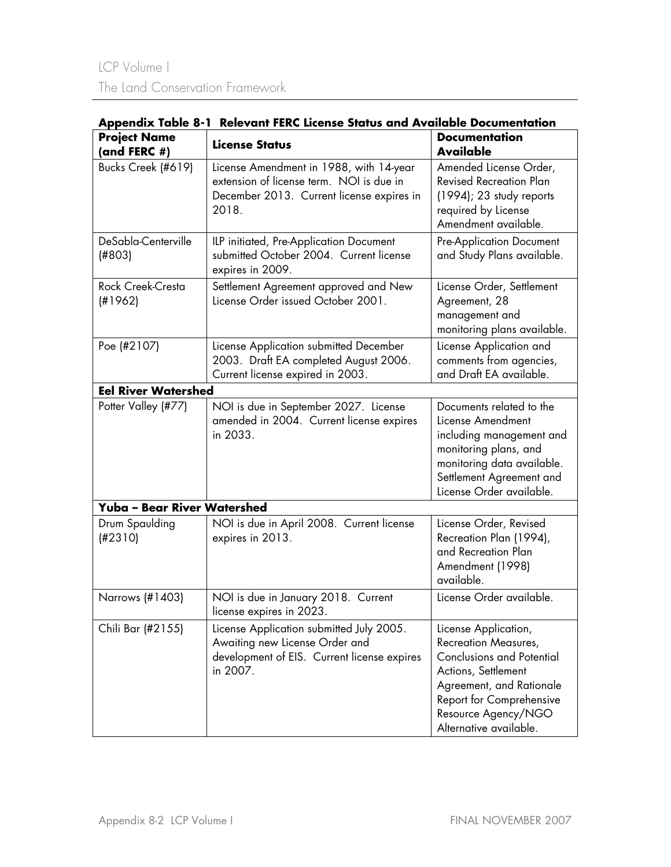| Appendix Table 8-1 Relevant FERC License Status and Available Documentation |                                                                                                                                           |                                                                                                                                                                                                                  |  |  |  |
|-----------------------------------------------------------------------------|-------------------------------------------------------------------------------------------------------------------------------------------|------------------------------------------------------------------------------------------------------------------------------------------------------------------------------------------------------------------|--|--|--|
| <b>Project Name</b><br>(and FERC $#$ )                                      | <b>License Status</b>                                                                                                                     | <b>Documentation</b><br><b>Available</b>                                                                                                                                                                         |  |  |  |
| Bucks Creek (#619)                                                          | License Amendment in 1988, with 14-year<br>extension of license term. NOI is due in<br>December 2013. Current license expires in<br>2018. | Amended License Order,<br><b>Revised Recreation Plan</b><br>$(1994)$ ; 23 study reports<br>required by License<br>Amendment available.                                                                           |  |  |  |
| DeSabla-Centerville<br>(H803)                                               | ILP initiated, Pre-Application Document<br>submitted October 2004. Current license<br>expires in 2009.                                    | <b>Pre-Application Document</b><br>and Study Plans available.                                                                                                                                                    |  |  |  |
| Rock Creek-Cresta<br>(H1962)                                                | Settlement Agreement approved and New<br>License Order issued October 2001.                                                               | License Order, Settlement<br>Agreement, 28<br>management and<br>monitoring plans available.                                                                                                                      |  |  |  |
| Poe (#2107)                                                                 | License Application submitted December<br>2003. Draft EA completed August 2006.<br>Current license expired in 2003.                       | License Application and<br>comments from agencies,<br>and Draft EA available.                                                                                                                                    |  |  |  |
| <b>Eel River Watershed</b>                                                  |                                                                                                                                           |                                                                                                                                                                                                                  |  |  |  |
| Potter Valley (#77)                                                         | NOI is due in September 2027. License<br>amended in 2004. Current license expires<br>in 2033.                                             | Documents related to the<br>License Amendment<br>including management and<br>monitoring plans, and<br>monitoring data available.<br>Settlement Agreement and<br>License Order available.                         |  |  |  |
| Yuba - Bear River Watershed                                                 |                                                                                                                                           |                                                                                                                                                                                                                  |  |  |  |
| Drum Spaulding<br>(H2310)                                                   | NOI is due in April 2008. Current license<br>expires in 2013.                                                                             | License Order, Revised<br>Recreation Plan (1994),<br>and Recreation Plan<br>Amendment (1998)<br>available.                                                                                                       |  |  |  |
| Narrows (#1403)                                                             | NOI is due in January 2018. Current<br>license expires in 2023.                                                                           | License Order available.                                                                                                                                                                                         |  |  |  |
| Chili Bar (#2155)                                                           | License Application submitted July 2005.<br>Awaiting new License Order and<br>development of EIS. Current license expires<br>in 2007.     | License Application,<br>Recreation Measures,<br><b>Conclusions and Potential</b><br>Actions, Settlement<br>Agreement, and Rationale<br>Report for Comprehensive<br>Resource Agency/NGO<br>Alternative available. |  |  |  |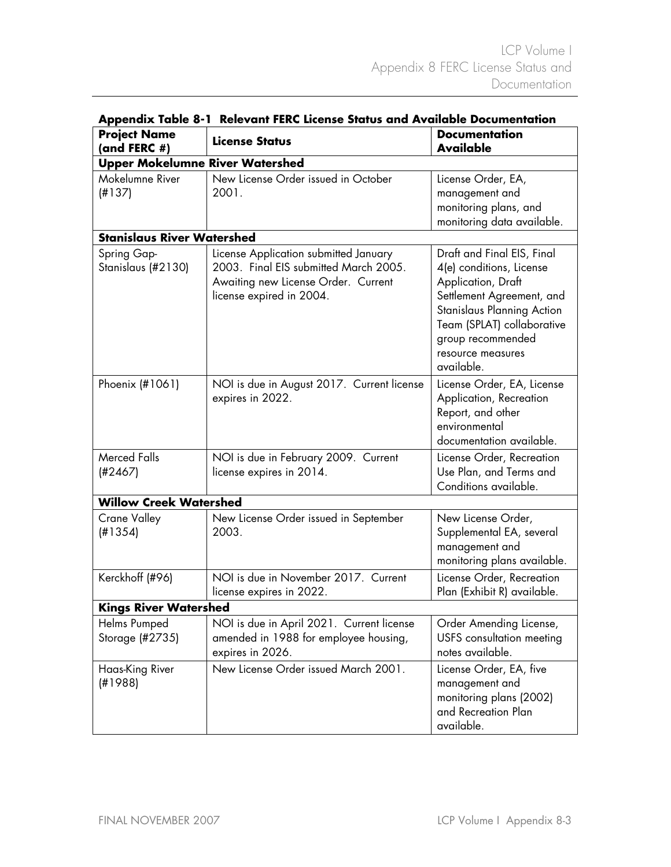| Appenaix Table o-T<br><b>Relevant FERC LICENSE STATUS AND AVAILABLE DOCUMENTATION</b> |                                                                                                                                                   |                                                                                                                                                                                                                                      |  |  |  |
|---------------------------------------------------------------------------------------|---------------------------------------------------------------------------------------------------------------------------------------------------|--------------------------------------------------------------------------------------------------------------------------------------------------------------------------------------------------------------------------------------|--|--|--|
| <b>Project Name</b><br>(and FERC #)                                                   | <b>License Status</b>                                                                                                                             | <b>Documentation</b><br><b>Available</b>                                                                                                                                                                                             |  |  |  |
| <b>Upper Mokelumne River Watershed</b>                                                |                                                                                                                                                   |                                                                                                                                                                                                                                      |  |  |  |
| Mokelumne River<br>(H137)                                                             | New License Order issued in October<br>2001.                                                                                                      | License Order, EA,<br>management and<br>monitoring plans, and<br>monitoring data available.                                                                                                                                          |  |  |  |
| <b>Stanislaus River Watershed</b>                                                     |                                                                                                                                                   |                                                                                                                                                                                                                                      |  |  |  |
| Spring Gap-<br>Stanislaus (#2130)                                                     | License Application submitted January<br>2003. Final EIS submitted March 2005.<br>Awaiting new License Order. Current<br>license expired in 2004. | Draft and Final EIS, Final<br>4(e) conditions, License<br>Application, Draft<br>Settlement Agreement, and<br><b>Stanislaus Planning Action</b><br>Team (SPLAT) collaborative<br>group recommended<br>resource measures<br>available. |  |  |  |
| Phoenix (#1061)                                                                       | NOI is due in August 2017. Current license<br>expires in 2022.                                                                                    | License Order, EA, License<br>Application, Recreation<br>Report, and other<br>environmental<br>documentation available.                                                                                                              |  |  |  |
| <b>Merced Falls</b><br>(H2467)                                                        | NOI is due in February 2009. Current<br>license expires in 2014.                                                                                  | License Order, Recreation<br>Use Plan, and Terms and<br>Conditions available.                                                                                                                                                        |  |  |  |
| <b>Willow Creek Watershed</b>                                                         |                                                                                                                                                   |                                                                                                                                                                                                                                      |  |  |  |
| <b>Crane Valley</b><br>(H1354)                                                        | New License Order issued in September<br>2003.                                                                                                    | New License Order,<br>Supplemental EA, several<br>management and<br>monitoring plans available.                                                                                                                                      |  |  |  |
| Kerckhoff (#96)                                                                       | NOI is due in November 2017. Current<br>license expires in 2022.                                                                                  | License Order, Recreation<br>Plan (Exhibit R) available.                                                                                                                                                                             |  |  |  |
| <b>Kings River Watershed</b>                                                          |                                                                                                                                                   |                                                                                                                                                                                                                                      |  |  |  |
| Helms Pumped<br>Storage (#2735)                                                       | NOI is due in April 2021. Current license<br>amended in 1988 for employee housing,<br>expires in 2026.                                            | Order Amending License,<br>USFS consultation meeting<br>notes available.                                                                                                                                                             |  |  |  |
| Haas-King River<br>(H1988)                                                            | New License Order issued March 2001.                                                                                                              | License Order, EA, five<br>management and<br>monitoring plans (2002)<br>and Recreation Plan<br>available.                                                                                                                            |  |  |  |